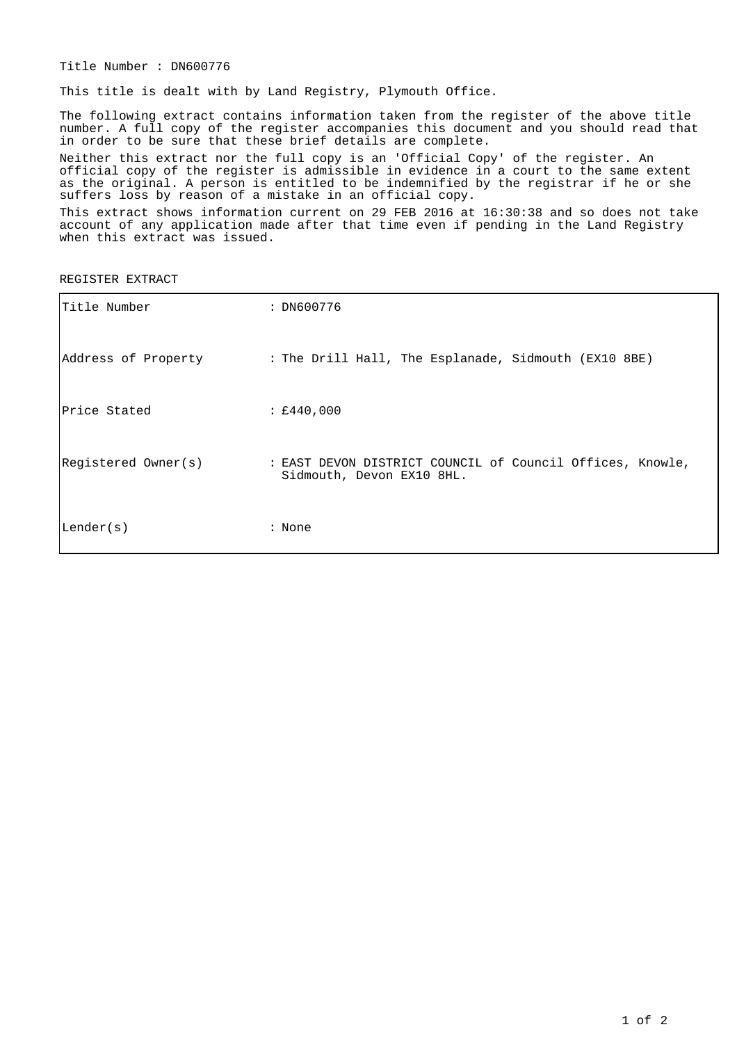Title Number : DN600776

This title is dealt with by Land Registry, Plymouth Office.

The following extract contains information taken from the register of the above title number. A full copy of the register accompanies this document and you should read that in order to be sure that these brief details are complete.

Neither this extract nor the full copy is an 'Official Copy' of the register. An official copy of the register is admissible in evidence in a court to the same extent as the original. A person is entitled to be indemnified by the registrar if he or she suffers loss by reason of a mistake in an official copy.

This extract shows information current on 29 FEB 2016 at 16:30:38 and so does not take account of any application made after that time even if pending in the Land Registry when this extract was issued.

REGISTER EXTRACT

| Title Number        | : DN600776                                                                             |
|---------------------|----------------------------------------------------------------------------------------|
| Address of Property | : The Drill Hall, The Esplanade, Sidmouth (EX10 8BE)                                   |
| Price Stated        | : £440,000                                                                             |
| Registered Owner(s) | : EAST DEVON DISTRICT COUNCIL of Council Offices, Knowle,<br>Sidmouth, Devon EX10 8HL. |
| Lender(s)           | : None                                                                                 |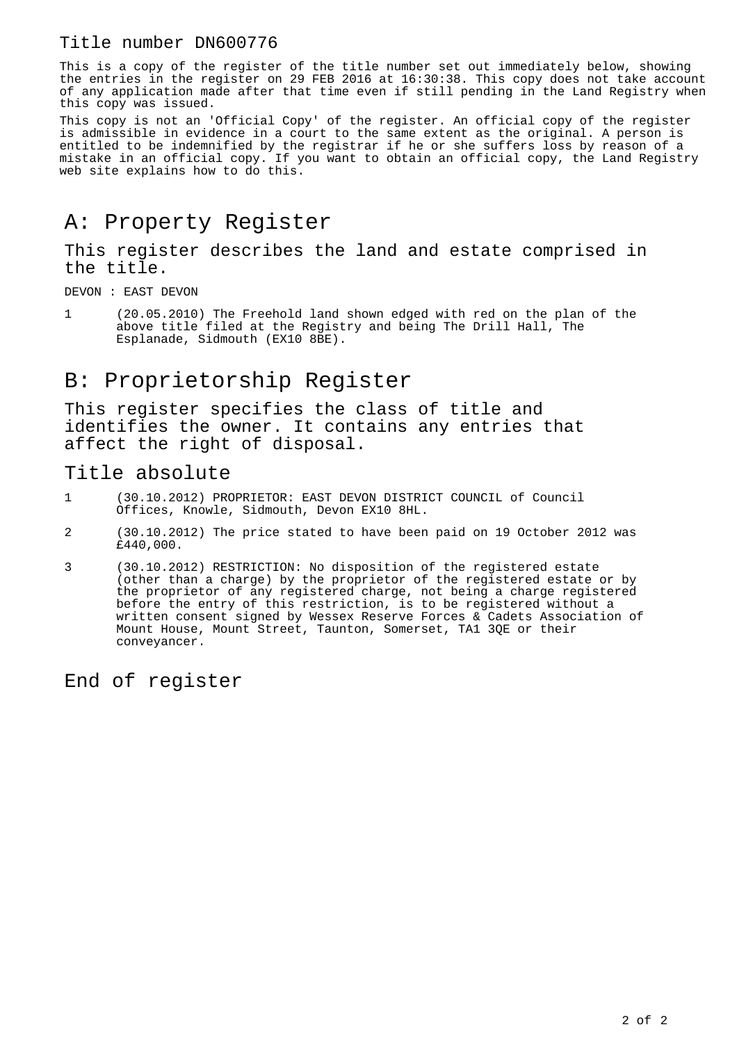#### Title number DN600776

This is a copy of the register of the title number set out immediately below, showing the entries in the register on 29 FEB 2016 at 16:30:38. This copy does not take account of any application made after that time even if still pending in the Land Registry when this copy was issued.

This copy is not an 'Official Copy' of the register. An official copy of the register is admissible in evidence in a court to the same extent as the original. A person is entitled to be indemnified by the registrar if he or she suffers loss by reason of a mistake in an official copy. If you want to obtain an official copy, the Land Registry web site explains how to do this.

## A: Property Register

This register describes the land and estate comprised in the title.

DEVON : EAST DEVON

1 (20.05.2010) The Freehold land shown edged with red on the plan of the above title filed at the Registry and being The Drill Hall, The Esplanade, Sidmouth (EX10 8BE).

## B: Proprietorship Register

This register specifies the class of title and identifies the owner. It contains any entries that affect the right of disposal.

#### Title absolute

- 1 (30.10.2012) PROPRIETOR: EAST DEVON DISTRICT COUNCIL of Council Offices, Knowle, Sidmouth, Devon EX10 8HL.
- 2 (30.10.2012) The price stated to have been paid on 19 October 2012 was £440,000.
- 3 (30.10.2012) RESTRICTION: No disposition of the registered estate (other than a charge) by the proprietor of the registered estate or by the proprietor of any registered charge, not being a charge registered before the entry of this restriction, is to be registered without a written consent signed by Wessex Reserve Forces & Cadets Association of Mount House, Mount Street, Taunton, Somerset, TA1 3QE or their conveyancer.

End of register